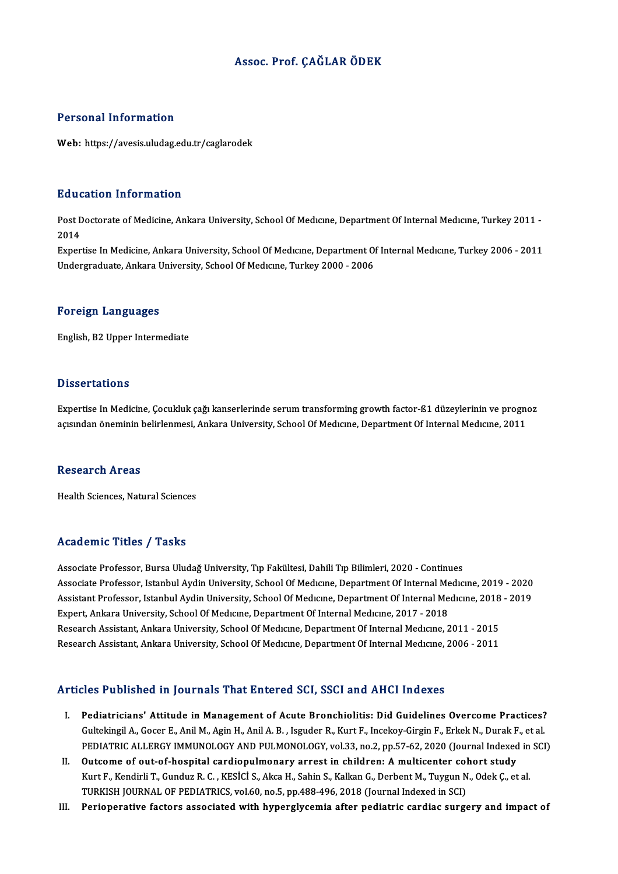#### Assoc. Prof. ÇAĞLAR ÖDEK

#### Personal Information

Web: https://avesis.uludag.edu.tr/caglarodek

#### Education Information

**Education Information**<br>Post Doctorate of Medicine, Ankara University, School Of Medıcıne, Department Of Internal Medıcıne, Turkey 2011 -<br>2014 Post L<br>Post L<br>2014 2014<br>Expertise In Medicine, Ankara University, School Of Medıcıne, Department Of Internal Medıcıne, Turkey 2006 - 2011

Undergraduate, Ankara University, School Of Medicine, Turkey 2000 - 2006

#### Foreign Languages

English,B2Upper Intermediate

#### **Dissertations**

Expertise In Medicine, Çocukluk çağı kanserlerinde serum transforming growth factor-ß1 düzeylerinin ve prognoz açısından öneminin belirlenmesi, Ankara University, School Of Medıcıne, Department Of Internal Medıcıne, 2011

#### Research Areas

Health Sciences, Natural Sciences

#### Academic Titles / Tasks

Associate Professor, Bursa Uludağ University, Tıp Fakültesi, Dahili Tıp Bilimleri, 2020 - Continues Associate Professor, Bursa Uludağ University, Tıp Fakültesi, Dahili Tıp Bilimleri, 2020 - Continues<br>Associate Professor, Istanbul Aydin University, School Of Medıcıne, Department Of Internal Medıcıne, 2019 - 2020<br>Assistant Associate Professor, Bursa Uludağ University, Tıp Fakültesi, Dahili Tıp Bilimleri, 2020 - Continues<br>Associate Professor, Istanbul Aydin University, School Of Medıcıne, Department Of Internal Medıcıne, 2019 - 2020<br>Assistant Associate Professor, Istanbul Aydin University, School Of Medıcıne, Department Of Internal Me<br>Assistant Professor, Istanbul Aydin University, School Of Medıcıne, Department Of Internal Me<br>Expert, Ankara University, School Assistant Professor, Istanbul Aydin University, School Of Medicine, Department Of Internal Medicine, 2018 - 2019<br>Expert, Ankara University, School Of Medicine, Department Of Internal Medicine, 2017 - 2018<br>Research Assistan Research Assistant, Ankara University, School Of Medicine, Department Of Internal Medicine, 2011 - 2015

#### Articles Published in Journals That Entered SCI, SSCI and AHCI Indexes

- rticles Published in Journals That Entered SCI, SSCI and AHCI Indexes<br>I. Pediatricians' Attitude in Management of Acute Bronchiolitis: Did Guidelines Overcome Practices?<br>Culteling LA Coser E. Anil M. Agin H. Anil A. B. Jes Gultekingil A., Gocer E., Anil M., Agin H., Anil A. B. , Isguder R., Kurt F., Incekoy-Girgin F., Erkek N., Durak F., et al.<br>Gultekingil A., Gocer E., Anil M., Agin H., Anil A. B. , Isguder R., Kurt F., Incekoy-Girgin F., E PEDIATRIC ALLERGY IMMUNOLOGY AND PULMONOLOGY, vol.33, no.2, pp.57-62, 2020 (Journal Indexed in SCI)<br>Outcome of out-of-hospital cardiopulmonary arrest in children: A multicenter cohort study Gultekingil A., Gocer E., Anil M., Agin H., Anil A. B. , Isguder R., Kurt F., Incekoy-Girgin F., Erkek N., Durak F., et al.<br>PEDIATRIC ALLERGY IMMUNOLOGY AND PULMONOLOGY, vol.33, no.2, pp.57-62, 2020 (Journal Indexed in SCI
- PEDIATRIC ALLERGY IMMUNOLOGY AND PULMONOLOGY, vol.33, no.2, pp.57-62, 2020 (Journal Indexed in<br>Outcome of out-of-hospital cardiopulmonary arrest in children: A multicenter cohort study<br>Kurt F., Kendirli T., Gunduz R. C. , Outcome of out-of-hospital cardiopulmonary arrest in children: A multicenter col<br>Kurt F., Kendirli T., Gunduz R. C. , KESİCİ S., Akca H., Sahin S., Kalkan G., Derbent M., Tuygun N<br>TURKISH JOURNAL OF PEDIATRICS, vol.60, no. Kurt F., Kendirli T., Gunduz R. C. , KESİCİ S., Akca H., Sahin S., Kalkan G., Derbent M., Tuygun N., Odek Ç., et al.<br>TURKISH JOURNAL OF PEDIATRICS, vol.60, no.5, pp.488-496, 2018 (Journal Indexed in SCI)<br>III. Periopera
-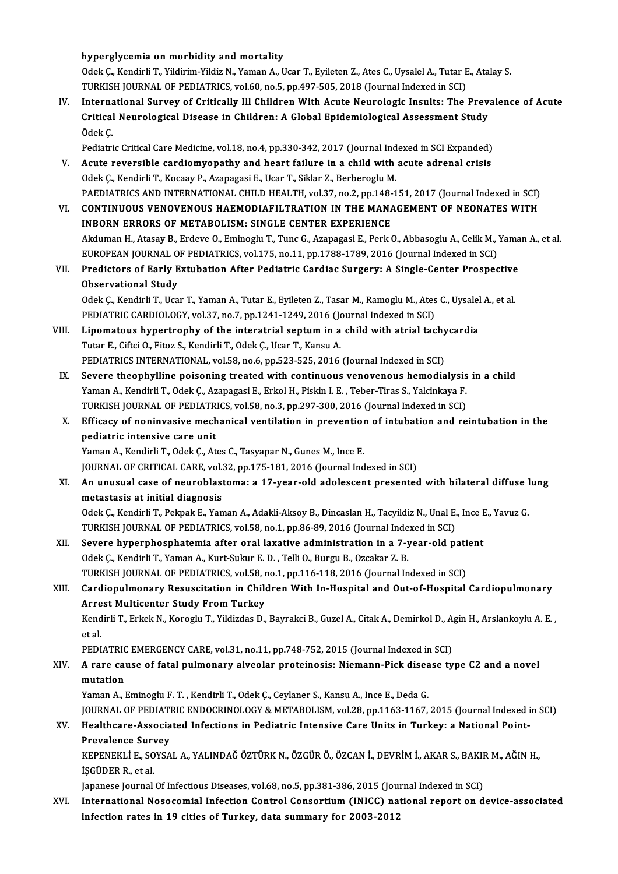hyperglycemia on morbidity and mortality

hyperglycemia on morbidity and mortality<br>Odek Ç., Kendirli T., Yildirim-Yildiz N., Yaman A., Ucar T., Eyileten Z., Ates C., Uysalel A., Tutar E., Atalay S.<br>TURKISH JOURNAL OF REDIATRICS XRLÉO DR 5, PD 497 595-2018 (Journal hyperglycemia on morbidity and mortality<br>Odek Ç., Kendirli T., Yildirim-Yildiz N., Yaman A., Ucar T., Eyileten Z., Ates C., Uysalel A., Tutar E<br>TURKISH JOURNAL OF PEDIATRICS, vol.60, no.5, pp.497-505, 2018 (Journal Indexed Odek Ç., Kendirli T., Yildirim-Yildiz N., Yaman A., Ucar T., Eyileten Z., Ates C., Uysalel A., Tutar E., Atalay S.<br>TURKISH JOURNAL OF PEDIATRICS, vol.60, no.5, pp.497-505, 2018 (Journal Indexed in SCI)<br>IV. International Su

- TURKISH JOURNAL OF PEDIATRICS, vol.60, no.5, pp.497-505, 2018 (Journal Indexed in SCI)<br>International Survey of Critically Ill Children With Acute Neurologic Insults: The Prev<br>Critical Neurological Disease in Children: A Gl Interna<br>Critical<br>Ödek Ç.<br><sup>Rediatri</sup> Critical Neurological Disease in Children: A Global Epidemiological Assessment Study<br>Ödek Ç.<br>Pediatric Critical Care Medicine, vol.18, no.4, pp.330-342, 2017 (Journal Indexed in SCI Expanded)<br>Agute reuersible cardiomyonath
- Ödek Ç.<br>Pediatric Critical Care Medicine, vol.18, no.4, pp.330-342, 2017 (Journal Indexed in SCI Expanded)<br>V. Acute reversible cardiomyopathy and heart failure in a child with acute adrenal crisis<br>Odek C. Kondirli T. Kossa Pediatric Critical Care Medicine, vol.18, no.4, pp.330-342, 2017 (Journal Ind<br>Acute reversible cardiomyopathy and heart failure in a child with<br>Odek Ç., Kendirli T., Kocaay P., Azapagasi E., Ucar T., Siklar Z., Berberoglu Acute reversible cardiomyopathy and heart failure in a child with acute adrenal crisis<br>Odek Ç., Kendirli T., Kocaay P., Azapagasi E., Ucar T., Siklar Z., Berberoglu M.<br>PAEDIATRICS AND INTERNATIONAL CHILD HEALTH, vol.37, no

- Odek Ç., Kendirli T., Kocaay P., Azapagasi E., Ucar T., Siklar Z., Berberoglu M.<br>PAEDIATRICS AND INTERNATIONAL CHILD HEALTH, vol.37, no.2, pp.148-151, 2017 (Journal Indexed in SCI)<br>VI. CONTINUOUS VENOVENOUS HAEMODIAFILTRAT PAEDIATRICS AND INTERNATIONAL CHILD HEALTH, vol.37, no.2, pp.148-<br>CONTINUOUS VENOVENOUS HAEMODIAFILTRATION IN THE MANA<br>INBORN ERRORS OF METABOLISM: SINGLE CENTER EXPERIENCE VI. CONTINUOUS VENOVENOUS HAEMODIAFILTRATION IN THE MANAGEMENT OF NEONATES WITH<br>INBORN ERRORS OF METABOLISM: SINGLE CENTER EXPERIENCE<br>Akduman H., Atasay B., Erdeve O., Eminoglu T., Tunc G., Azapagasi E., Perk O., Abbasoglu INBORN ERRORS OF METABOLISM: SINGLE CENTER EXPERIENCE<br>Akduman H., Atasay B., Erdeve O., Eminoglu T., Tunc G., Azapagasi E., Perk O., Abbasoglu A., Celik M., `<br>EUROPEAN JOURNAL OF PEDIATRICS, vol.175, no.11, pp.1788-1789, 2 Akduman H., Atasay B., Erdeve O., Eminoglu T., Tunc G., Azapagasi E., Perk O., Abbasoglu A., Celik M., Yama<br>EUROPEAN JOURNAL OF PEDIATRICS, vol.175, no.11, pp.1788-1789, 2016 (Journal Indexed in SCI)<br>VII. Predictors of Ear
- EUROPEAN JOURNAL O<br>Predictors of Early E<br>Observational Study<br>Odek C. Kendirli T. Hee Predictors of Early Extubation After Pediatric Cardiac Surgery: A Single-Center Prospective<br>Observational Study<br>Odek Ç., Kendirli T., Ucar T., Yaman A., Tutar E., Eyileten Z., Tasar M., Ramoglu M., Ates C., Uysalel A., et

Observational Study<br>Odek Ç., Kendirli T., Ucar T., Yaman A., Tutar E., Eyileten Z., Tasar M., Ramoglu M., Ates C., Uysalel A., et al.<br>PEDIATRIC CARDIOLOGY, vol.37, no.7, pp.1241-1249, 2016 (Journal Indexed in SCI) Odek Ç., Kendirli T., Ucar T., Yaman A., Tutar E., Eyileten Z., Tasar M., Ramoglu M., Ates C., Uysalel<br>PEDIATRIC CARDIOLOGY, vol.37, no.7, pp.1241-1249, 2016 (Journal Indexed in SCI)<br>VIII. Lipomatous hypertrophy of the int

- Tutar E., Ciftci O., Fitoz S., Kendirli T., Odek Ç., Ucar T., Kansu A.<br>PEDIATRICS INTERNATIONAL, vol.58, no.6, pp.523-525, 2016 (Journal Indexed in SCI) Lipomatous hypertrophy of the interatrial septum in a child with atrial tachy<br>Tutar E., Ciftci O., Fitoz S., Kendirli T., Odek Ç., Ucar T., Kansu A.<br>PEDIATRICS INTERNATIONAL, vol.58, no.6, pp.523-525, 2016 (Journal Indexed
- IX. Severe theophylline poisoning treated with continuous venovenous hemodialysis in a child Yaman A., Kendirli T., Odek Ç., Azapagasi E., Erkol H., Piskin I. E., Teber-Tiras S., Yalcinkaya F. Severe theophylline poisoning treated with continuous venovenous hemodialysis<br>Yaman A., Kendirli T., Odek Ç., Azapagasi E., Erkol H., Piskin I. E. , Teber-Tiras S., Yalcinkaya F.<br>TURKISH JOURNAL OF PEDIATRICS, vol.58, no.3 Yaman A., Kendirli T., Odek Ç., Azapagasi E., Erkol H., Piskin I. E. , Teber-Tiras S., Yalcinkaya F.<br>TURKISH JOURNAL OF PEDIATRICS, vol.58, no.3, pp.297-300, 2016 (Journal Indexed in SCI)<br>X. Efficacy of noninvasive mechani
- TURKISH JOURNAL OF PEDIATR<br>Efficacy of noninvasive mech<br>pediatric intensive care unit Efficacy of noninvasive mechanical ventilation in prevention<br>pediatric intensive care unit<br>Yaman A., Kendirli T., Odek Ç., Ates C., Tasyapar N., Gunes M., Ince E.<br>JOUPNAL OF CRITICAL CARE vol 32 nn 175-191-2016 (Journal In pediatric intensive care unit<br>Yaman A., Kendirli T., Odek Ç., Ates C., Tasyapar N., Gunes M., Ince E.<br>JOURNAL OF CRITICAL CARE, vol.32, pp.175-181, 2016 (Journal Indexed in SCI)

Yaman A., Kendirli T., Odek Ç., Ates C., Tasyapar N., Gunes M., Ince E.<br>JOURNAL OF CRITICAL CARE, vol.32, pp.175-181, 2016 (Journal Indexed in SCI)<br>XI. An unusual case of neuroblastoma: a 17-year-old adolescent present JOURNAL OF CRITICAL CARE, vol.<br>An unusual case of neuroblast<br>metastasis at initial diagnosis<br>Odek C. Kondirli T. Belmek E. Ven An unusual case of neuroblastoma: a 17-year-old adolescent presented with bilateral diffuse l<br>metastasis at initial diagnosis<br>Odek Ç., Kendirli T., Pekpak E., Yaman A., Adakli-Aksoy B., Dincaslan H., Tacyildiz N., Unal E.,

metastasis at initial diagnosis<br>Odek Ç., Kendirli T., Pekpak E., Yaman A., Adakli-Aksoy B., Dincaslan H., Tacyildiz N., Unal E., Ince E., Yavuz G.<br>TURKISH JOURNAL OF PEDIATRICS, vol.58, no.1, pp.86-89, 2016 (Journal Indexe Odek Ç., Kendirli T., Pekpak E., Yaman A., Adakli-Aksoy B., Dincaslan H., Tacyildiz N., Unal E., Ince I<br>TURKISH JOURNAL OF PEDIATRICS, vol.58, no.1, pp.86-89, 2016 (Journal Indexed in SCI)<br>XII. Severe hyperphosphatemia aft

- Odek Ç., Kendirli T., Yaman A., Kurt-Sukur E. D., Telli O., Burgu B., Ozcakar Z. B. Severe hyperphosphatemia after oral laxative administration in a 7-year-old pati<br>Odek Ç., Kendirli T., Yaman A., Kurt-Sukur E. D. , Telli O., Burgu B., Ozcakar Z. B.<br>TURKISH JOURNAL OF PEDIATRICS, vol.58, no.1, pp.116-118, TURKISH JOURNAL OF PEDIATRICS, vol.58, no.1, pp.116-118, 2016 (Journal Indexed in SCI)
- XIII. Cardiopulmonary Resuscitation in Children With In-Hospital and Out-of-Hospital Cardiopulmonary<br>Arrest Multicenter Study From Turkey Cardiopulmonary Resuscitation in Children With In-Hospital and Out-of-Hospital Cardiopulmonary<br>Arrest Multicenter Study From Turkey<br>Kendirli T., Erkek N., Koroglu T., Yildizdas D., Bayrakci B., Guzel A., Citak A., Demirkol

Arr<mark>e</mark><br>Kend<br>et al.<br>PEDI Kendirli T., Erkek N., Koroglu T., Yildizdas D., Bayrakci B., Guzel A., Citak A., Demirkol D., A<sub>i</sub><br>et al.<br>PEDIATRIC EMERGENCY CARE, vol.31, no.11, pp.748-752, 2015 (Journal Indexed in SCI)<br>A rare gauge of fatal pulmenery

## et al.<br>PEDIATRIC EMERGENCY CARE, vol.31, no.11, pp.748-752, 2015 (Journal Indexed in SCI)<br>XIV. A rare cause of fatal pulmonary alveolar proteinosis: Niemann-Pick disease type C2 and a novel<br>mutation PEDIATRIC EMERGENCY CARE, vol.31, no.11, pp.748-752, 2015 (Journal Indexed in SCI)<br>A rare cause of fatal pulmonary alveolar proteinosis: Niemann-Pick disease ty<br>mutation<br>Yaman A., Eminoglu F. T. , Kendirli T., Odek Ç., Cey A rare cause of fatal pulmonary alveolar proteinosis: Niemann-Pick disea<br>mutation<br>Yaman A., Eminoglu F. T. , Kendirli T., Odek Ç., Ceylaner S., Kansu A., Ince E., Deda G.<br>JOURNAL OF PEDIATRIC ENDOCRINOLOCY & METAROLISM .va

mutation<br>Yaman A., Eminoglu F. T. , Kendirli T., Odek Ç., Ceylaner S., Kansu A., Ince E., Deda G.<br>JOURNAL OF PEDIATRIC ENDOCRINOLOGY & METABOLISM, vol.28, pp.1163-1167, 2015 (Journal Indexed in SCI)<br>Heeltheere, Assosiated

XV. Healthcare-Associated Infections in Pediatric Intensive Care Units in Turkey: a National Point-**JOURNAL OF PEDIATI<br>Healthcare-Associa<br>Prevalence Survey<br>EEPENEELLE SOVSA** Healthcare-Associated Infections in Pediatric Intensive Care Units in Turkey: a National Point-<br>Prevalence Survey<br>KEPENEKLİ E., SOYSAL A., YALINDAĞ ÖZTÜRK N., ÖZGÜR Ö., ÖZCAN İ., DEVRİM İ., AKAR S., BAKIR M., AĞIN H.,<br>İSCÜ

Prevalence Surv<br>KEPENEKLİ E., SO<br>İŞGÜDER R., et al.<br>Janances Journal. KEPENEKLİ E., SOYSAL A., YALINDAĞ ÖZTÜRK N., ÖZGÜR Ö., ÖZCAN İ., DEVRİM İ., AKAR S., BAKII<br>İŞGÜDER R., et al.<br>Japanese Journal Of Infectious Diseases, vol.68, no.5, pp.381-386, 2015 (Journal Indexed in SCI)<br>International N

i\$GÜDER R., et al.<br>Japanese Journal Of Infectious Diseases, vol.68, no.5, pp.381-386, 2015 (Journal Indexed in SCI)<br>XVI. International Nosocomial Infection Control Consortium (INICC) national report on device-associate infection rates in 19 cities of Turkey, data summary for 2003-2012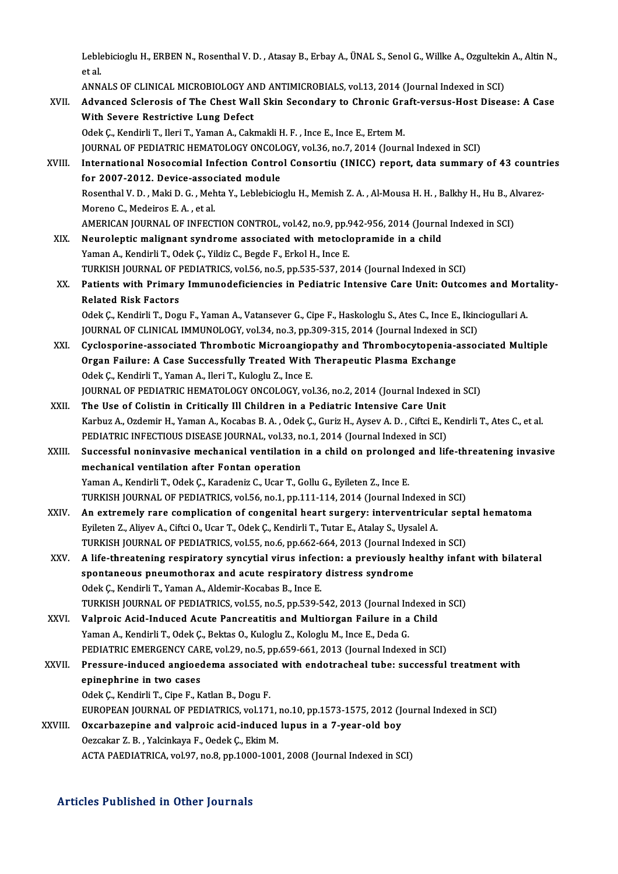Leblebicioglu H., ERBEN N., Rosenthal V. D. , Atasay B., Erbay A., ÜNAL S., Senol G., Willke A., Ozgultekin A., Altin N.,<br>et el Leble<br>et al.<br>ANN Leblebicioglu H., ERBEN N., Rosenthal V. D. , Atasay B., Erbay A., ÜNAL S., Senol G., Willke A., Ozgultekin<br>et al.<br>ANNALS OF CLINICAL MICROBIOLOGY AND ANTIMICROBIALS, vol.13, 2014 (Journal Indexed in SCI)<br>Advanced Sclanaci

|         | et al                                                                                                                   |
|---------|-------------------------------------------------------------------------------------------------------------------------|
|         | ANNALS OF CLINICAL MICROBIOLOGY AND ANTIMICROBIALS, vol.13, 2014 (Journal Indexed in SCI)                               |
| XVII.   | Advanced Sclerosis of The Chest Wall Skin Secondary to Chronic Graft-versus-Host Disease: A Case                        |
|         | With Severe Restrictive Lung Defect                                                                                     |
|         | Odek Ç., Kendirli T., Ileri T., Yaman A., Cakmakli H. F., Ince E., Ince E., Ertem M.                                    |
|         | JOURNAL OF PEDIATRIC HEMATOLOGY ONCOLOGY, vol.36, no.7, 2014 (Journal Indexed in SCI)                                   |
| XVIII.  | International Nosocomial Infection Control Consortiu (INICC) report, data summary of 43 countries                       |
|         | for 2007-2012. Device-associated module                                                                                 |
|         | Rosenthal V. D., Maki D. G., Mehta Y., Leblebicioglu H., Memish Z. A., Al-Mousa H. H., Balkhy H., Hu B., Alvarez-       |
|         | Moreno C, Medeiros E A, et al.                                                                                          |
|         | AMERICAN JOURNAL OF INFECTION CONTROL, vol.42, no.9, pp.942-956, 2014 (Journal Indexed in SCI)                          |
| XIX.    | Neuroleptic malignant syndrome associated with metoclopramide in a child                                                |
|         | Yaman A., Kendirli T., Odek Ç., Yildiz C., Begde F., Erkol H., Ince E.                                                  |
|         | TURKISH JOURNAL OF PEDIATRICS, vol.56, no.5, pp.535-537, 2014 (Journal Indexed in SCI)                                  |
| XX.     | Patients with Primary Immunodeficiencies in Pediatric Intensive Care Unit: Outcomes and Mortality-                      |
|         | <b>Related Risk Factors</b>                                                                                             |
|         | Odek Ç., Kendirli T., Dogu F., Yaman A., Vatansever G., Cipe F., Haskologlu S., Ates C., Ince E., Ikinciogullari A.     |
|         | JOURNAL OF CLINICAL IMMUNOLOGY, vol.34, no.3, pp.309-315, 2014 (Journal Indexed in SCI)                                 |
| XXI.    | Cyclosporine-associated Thrombotic Microangiopathy and Thrombocytopenia-associated Multiple                             |
|         | Organ Failure: A Case Successfully Treated With Therapeutic Plasma Exchange                                             |
|         | Odek Ç., Kendirli T., Yaman A., Ileri T., Kuloglu Z., Ince E.                                                           |
|         | JOURNAL OF PEDIATRIC HEMATOLOGY ONCOLOGY, vol.36, no.2, 2014 (Journal Indexed in SCI)                                   |
| XXII.   | The Use of Colistin in Critically Ill Children in a Pediatric Intensive Care Unit                                       |
|         | Karbuz A., Ozdemir H., Yaman A., Kocabas B. A., Odek Ç., Guriz H., Aysev A. D., Ciftci E., Kendirli T., Ates C., et al. |
|         | PEDIATRIC INFECTIOUS DISEASE JOURNAL, vol.33, no.1, 2014 (Journal Indexed in SCI)                                       |
| XXIII.  | Successful noninvasive mechanical ventilation in a child on prolonged and life-threatening invasive                     |
|         | mechanical ventilation after Fontan operation                                                                           |
|         | Yaman A., Kendirli T., Odek Ç., Karadeniz C., Ucar T., Gollu G., Eyileten Z., Ince E.                                   |
|         | TURKISH JOURNAL OF PEDIATRICS, vol.56, no.1, pp.111-114, 2014 (Journal Indexed in SCI)                                  |
| XXIV.   | An extremely rare complication of congenital heart surgery: interventricular septal hematoma                            |
|         | Eyileten Z., Aliyev A., Ciftci O., Ucar T., Odek Ç., Kendirli T., Tutar E., Atalay S., Uysalel A.                       |
|         | TURKISH JOURNAL OF PEDIATRICS, vol.55, no.6, pp.662-664, 2013 (Journal Indexed in SCI)                                  |
| XXV.    | A life-threatening respiratory syncytial virus infection: a previously healthy infant with bilateral                    |
|         | spontaneous pneumothorax and acute respiratory distress syndrome                                                        |
|         | Odek Ç., Kendirli T., Yaman A., Aldemir-Kocabas B., Ince E.                                                             |
|         | TURKISH JOURNAL OF PEDIATRICS, vol.55, no.5, pp.539-542, 2013 (Journal Indexed in SCI)                                  |
| XXVI.   | Valproic Acid-Induced Acute Pancreatitis and Multiorgan Failure in a Child                                              |
|         | Yaman A., Kendirli T., Odek Ç., Bektas O., Kuloglu Z., Kologlu M., Ince E., Deda G.                                     |
|         | PEDIATRIC EMERGENCY CARE, vol.29, no.5, pp.659-661, 2013 (Journal Indexed in SCI)                                       |
| XXVII.  | Pressure-induced angioedema associated with endotracheal tube: successful treatment with<br>epinephrine in two cases    |
|         | Odek Ç., Kendirli T., Cipe F., Katlan B., Dogu F.                                                                       |
|         | EUROPEAN JOURNAL OF PEDIATRICS, vol.171, no.10, pp.1573-1575, 2012 (Journal Indexed in SCI)                             |
| XXVIII. | Oxcarbazepine and valproic acid-induced lupus in a 7-year-old boy                                                       |
|         | Oezcakar Z. B., Yalcinkaya F., Oedek Ç., Ekim M.                                                                        |
|         | ACTA PAEDIATRICA, vol.97, no.8, pp.1000-1001, 2008 (Journal Indexed in SCI)                                             |
|         |                                                                                                                         |

#### Articles Published in Other Journals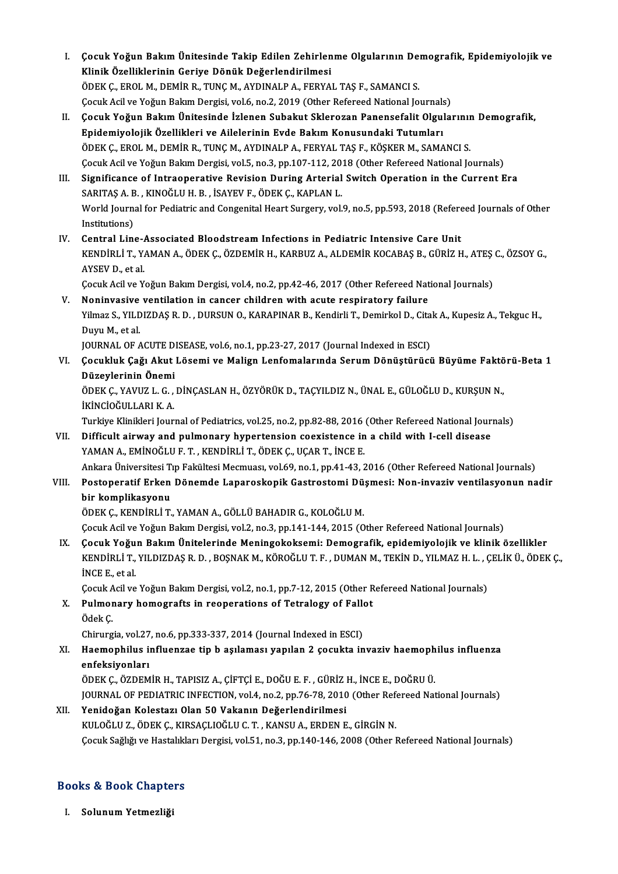- I. Çocuk Yoğun BakımÜnitesinde Takip Edilen Zehirlenme Olgularının Demografik, Epidemiyolojik ve Cocuk Yoğun Bakım Ünitesinde Takip Edilen Zehirlen<br>Klinik Özelliklerinin Geriye Dönük Değerlendirilmesi<br>ÖDEK G EROL M. DEMİR R. TUNG M. AYDINALRA, EERYA Çocuk Yoğun Bakım Ünitesinde Takip Edilen Zehirlenme Olgularının De:<br>Klinik Özelliklerinin Geriye Dönük Değerlendirilmesi<br>ÖDEK Ç., EROL M., DEMİR R., TUNÇ M., AYDINALP A., FERYAL TAŞ F., SAMANCI S.<br>Cesul: Asil ve Yeğun Bal Klinik Özelliklerinin Geriye Dönük Değerlendirilmesi<br>ÖDEK Ç., EROL M., DEMİR R., TUNÇ M., AYDINALP A., FERYAL TAŞ F., SAMANCI S.<br>Çocuk Acil ve Yoğun Bakım Dergisi, vol.6, no.2, 2019 (Other Refereed National Journals)<br>Çocuk
- ÖDEK Ç., EROL M., DEMİR R., TUNÇ M., AYDINALP A., FERYAL TAŞ F., SAMANCI S.<br>Çocuk Acil ve Yoğun Bakım Dergisi, vol.6, no.2, 2019 (Other Refereed National Journals)<br>II. Çocuk Yoğun Bakım Ünitesinde İzlenen Subakut Sklerozan Cocuk Acil ve Yoğun Bakım Dergisi, vol.6, no.2, 2019 (Other Refereed National Journals<br>Cocuk Yoğun Bakım Ünitesinde İzlenen Subakut Sklerozan Panensefalit Olgul<br>Epidemiyolojik Özellikleri ve Ailelerinin Evde Bakım Konusund ÖDEK Ç., EROL M., DEMİR R., TUNÇ M., AYDINALP A., FERYAL TAŞ F., KÖŞKER M., SAMANCI S. Çocuk Acil ve Yoğun Bakım Dergisi, vol.5, no.3, pp.107-112, 2018 (Other Refereed National Journals)
- III. Significance of Intraoperative Revision During Arterial Switch Operation in the Current Era Cocuk Acil ve Yoğun Bakım Dergisi, vol.5, no.3, pp.107-112, 20<br>Significance of Intraoperative Revision During Arterial<br>SARITAŞ A. B. , KINOĞLU H. B. , İSAYEV F., ÖDEK Ç., KAPLAN L.<br>Werld Journal for Pediatria and Congenita Significance of Intraoperative Revision During Arterial Switch Operation in the Current Era<br>SARITAŞ A. B. , KINOĞLU H. B. , İSAYEV F., ÖDEK Ç., KAPLAN L.<br>World Journal for Pediatric and Congenital Heart Surgery, vol.9, no. SARITAȘ A. B<br>World Journ:<br>Institutions)<br>Control Line World Journal for Pediatric and Congenital Heart Surgery, vol.9, no.5, pp.593, 2018 (Refere<br>Institutions)<br>IV. Central Line-Associated Bloodstream Infections in Pediatric Intensive Care Unit<br>ERIDENT VAMANA ÖDEK C ÖZDEMIR H.
- Institutions)<br>Central Line-Associated Bloodstream Infections in Pediatric Intensive Care Unit<br>KENDİRLİ T., YAMAN A., ÖDEK Ç., ÖZDEMİR H., KARBUZ A., ALDEMİR KOCABAŞ B., GÜRİZ H., ATEŞ C., ÖZSOY G.,<br>AYSEV D. et al Central Line-4<br>KENDİRLİ T., Y.<br>AYSEV D., et al.<br>Cosuk Asil ve Y KENDİRLİ T., YAMAN A., ÖDEK Ç., ÖZDEMİR H., KARBUZ A., ALDEMİR KOCABAŞ B., GÜRİZ H., ATEŞ<br>AYSEV D., et al.<br>Çocuk Acil ve Yoğun Bakım Dergisi, vol.4, no.2, pp.42-46, 2017 (Other Refereed National Journals)<br>Naninyasiya yanti AYSEV D., et al.<br>Cocuk Acil ve Yoğun Bakım Dergisi, vol.4, no.2, pp.42-46, 2017 (Other Refereed National Journals)<br>V. Noninvasive ventilation in cancer children with acute respiratory failure

Cocuk Acil ve Yoğun Bakım Dergisi, vol.4, no.2, pp.42-46, 2017 (Other Refereed National Journals)<br>Noninvasive ventilation in cancer children with acute respiratory failure<br>Yilmaz S., YILDIZDAŞ R. D. , DURSUN O., KARAPINAR **Noninvasive<br>Yilmaz S., YILD<br>Duyu M., et al.<br>JOUPNAL OF 4** Yilmaz S., YILDIZDAŞ R. D. , DURSUN O., KARAPINAR B., Kendirli T., Demirkol D., Cita<br>Duyu M., et al.<br>JOURNAL OF ACUTE DISEASE, vol.6, no.1, pp.23-27, 2017 (Journal Indexed in ESCI)<br>Cosultluk Cažu Akut Lösemi ve Malisu Lenf JOURNAL OF ACUTE DISEASE, vol.6, no.1, pp.23-27, 2017 (Journal Indexed in ESCI)

Duyu M., et al.<br>JOURNAL OF ACUTE DISEASE, vol.6, no.1, pp.23-27, 2017 (Journal Indexed in ESCI)<br>VI. Çocukluk Çağı Akut Lösemi ve Malign Lenfomalarında Serum Dönüştürücü Büyüme Faktörü-Beta 1<br>Düzeylerinin Önemi

## Çocukluk Çağı Akut Lösemi ve Malign Lenfomalarında Serum Dönüştürücü Büyüme Faktö<br>Düzeylerinin Önemi<br>ÖDEK Ç., YAVUZ L. G. , DİNÇASLAN H., ÖZYÖRÜK D., TAÇYILDIZ N., ÜNAL E., GÜLOĞLU D., KURŞUN N.,<br>İYİNCİQĞULLAPLK A Düzeylerinin Önemi<br>ÖDEK Ç., YAVUZ L. G. ,<br>İKİNCİOĞULLARI K. A.<br>Turkiye Klinikleri Jeur ÖDEK Ç., YAVUZ L. G. , DİNÇASLAN H., ÖZYÖRÜK D., TAÇYILDIZ N., ÜNAL E., GÜLOĞLU D., KURŞUN N.,<br>İKİNCİOĞULLARI K. A.<br>Turkiye Klinikleri Journal of Pediatrics, vol.25, no.2, pp.82-88, 2016 (Other Refereed National Journals)<br>

IKINCIOĞULLARI K. A.<br>Turkiye Klinikleri Journal of Pediatrics, vol.25, no.2, pp.82-88, 2016 (Other Refereed National Jour<br>VII. Difficult airway and pulmonary hypertension coexistence in a child with I-cell disease<br>VAMA Turkiye Klinikleri Journal of Pediatrics, vol.25, no.2, pp.82-88, 2016<br>Difficult airway and pulmonary hypertension coexistence in<br>YAMAN A., EMİNOĞLU F. T. , KENDİRLİ T., ÖDEK Ç., UÇAR T., İNCE E.<br>Ankara Üniversitesi Tın Fe Difficult airway and pulmonary hypertension coexistence in a child with I-cell disease<br>YAMAN A., EMİNOĞLU F. T. , KENDİRLİ T., ÖDEK Ç., UÇAR T., İNCE E.<br>Ankara Üniversitesi Tıp Fakültesi Mecmuası, vol.69, no.1, pp.41-43, 2

## YAMAN A., EMİNOĞLU F. T. , KENDİRLİ T., ÖDEK Ç., UÇAR T., İNCE E.<br>Ankara Üniversitesi Tıp Fakültesi Mecmuası, vol.69, no.1, pp.41-43, 2016 (Other Refereed National Journals)<br>VIII. Postoperatif Erken Dönemde Laparoskopi Ankara Üniversitesi T<br>Postoperatif Erken<br>bir komplikasyonu<br>ÖDEK C. KENDIBLİ T Postoperatif Erken Dönemde Laparoskopik Gastrostomi Dü<br>bir komplikasyonu<br>ÖDEK Ç., KENDİRLİ T., YAMAN A., GÖLLÜ BAHADIR G., KOLOĞLU M.<br>Cesuk Asil ve Yoğun Balam Dersisi, val 2 na 2 nn 141 144 2015 (Q

bir komplikasyonu<br>ÖDEK Ç., KENDİRLİ T., YAMAN A., GÖLLÜ BAHADIR G., KOLOĞLU M.<br>Çocuk Acil ve Yoğun Bakım Dergisi, vol.2, no.3, pp.141-144, 2015 (Other Refereed National Journals)

ÖDEK Ç., KENDİRLİ T., YAMAN A., GÖLLÜ BAHADIR G., KOLOĞLU M.<br>Çocuk Acil ve Yoğun Bakım Dergisi, vol.2, no.3, pp.141-144, 2015 (Other Refereed National Journals)<br>IX. Gocuk Yoğun Bakım Ünitelerinde Meningokoksemi: Demografik Çocuk Acil ve Yoğun Bakım Dergisi, vol.2, no.3, pp.141-144, 2015 (Other Refereed National Journals)<br>Çocuk Yo<mark>ğun Bakım Ünitelerinde Meningokoksemi: Demografik, epidemiyolojik ve klinik özellikler<br>KENDİRLİ T., YILDIZDAŞ R. </mark> **Çocuk Yoğu<br>KENDİRLİ T.,<br>İNCE E., et al.** KENDİRLİ T., YILDIZDAŞ R. D. , BOŞNAK M., KÖROĞLU T. F. , DUMAN M., TEKİN D., YILMAZ H. L. , Ç<br>İNCE E., et al.<br>Çocuk Acil ve Yoğun Bakım Dergisi, vol.2, no.1, pp.7-12, 2015 (Other Refereed National Journals)<br>Pulmanany hama

iNCE E., et al.<br>Çocuk Acil ve Yoğun Bakım Dergisi, vol.2, no.1, pp.7-12, 2015 (Other R<br>X. Pulmonary homografts in reoperations of Tetralogy of Fallot<br>Ödek C Çocuk A<br><mark>Pulmor</mark><br>Ödek Ç.<br>Chirurg Pulmonary homografts in reoperations of Tetralogy of Falle<br>Ödek Ç.<br>Chirurgia, vol.27, no.6, pp.333-337, 2014 (Journal Indexed in ESCI)<br>Haemonbilus influenzes tip b asılaması yapılan 2 sosukta in

## Ödek Ç.<br>Chirurgia, vol.27, no.6, pp.333-337, 2014 (Journal Indexed in ESCI)<br>XI. Haemophilus influenzae tip b aşılaması yapılan 2 çocukta invaziv haemophilus influenza<br>onfeksivenlery Chirurgia, vol.27, no.6, pp.333-337, 2014 (Journal Indexed in ESCI)<br>Haemophilus influenzae tip b aşılaması yapılan 2 çocukta invaziv haemoph<br>enfeksiyonları<br>ÖDEK C., ÖZDEMİR H., TAPISIZ A., ÇİFTÇİ E., DOĞU E. F. , GÜRİZ H., Haemophilus influenzae tip b aşılaması yapılan 2 çocukta invaziv haemoph<br>enfeksiyonları<br>ÖDEK Ç., ÖZDEMİR H., TAPISIZ A., ÇİFTÇİ E., DOĞU E. F. , GÜRİZ H., İNCE E., DOĞRU Ü.<br>IQUPNAL OF PEDLATPLC INFECTION vol 4 no 2 nn 76 7 enfeksiyonları<br>ÖDEK Ç., ÖZDEMİR H., TAPISIZ A., ÇİFTÇİ E., DOĞU E. F. , GÜRİZ H., İNCE E., DOĞRU Ü.<br>JOURNAL OF PEDIATRIC INFECTION, vol.4, no.2, pp.76-78, 2010 (Other Refereed National Journals)<br>Yonidoğan Kolostarı Olan 50

### XII. Yenidoğan Kolestazı Olan 50 Vakanın Değerlendirilmesi<br>KULOĞLU Z., ÖDEK Ç., KIRSAÇLIOĞLU C. T., KANSU A., ERDEN E., GİRGİN N. JOURNAL OF PEDIATRIC INFECTION, vol.4, no.2, pp.76-78, 2010 (Other Ref<br>Yenidoğan Kolestazı Olan 50 Vakanın Değerlendirilmesi<br>KULOĞLU Z., ÖDEK Ç., KIRSAÇLIOĞLU C. T. , KANSU A., ERDEN E., GİRGİN N.<br>Cesuk Sağlığı ve Hastalıl Çocuk Sağlığı ve Hastalıkları Dergisi, vol.51, no.3, pp.140-146, 2008 (Other Refereed National Journals)

## Cocuk Sagligi ve Hastaliki<br>Books & Book Chapters ooks & Book Chapte<br><sub>I. Solunum Yetmezliği</sub>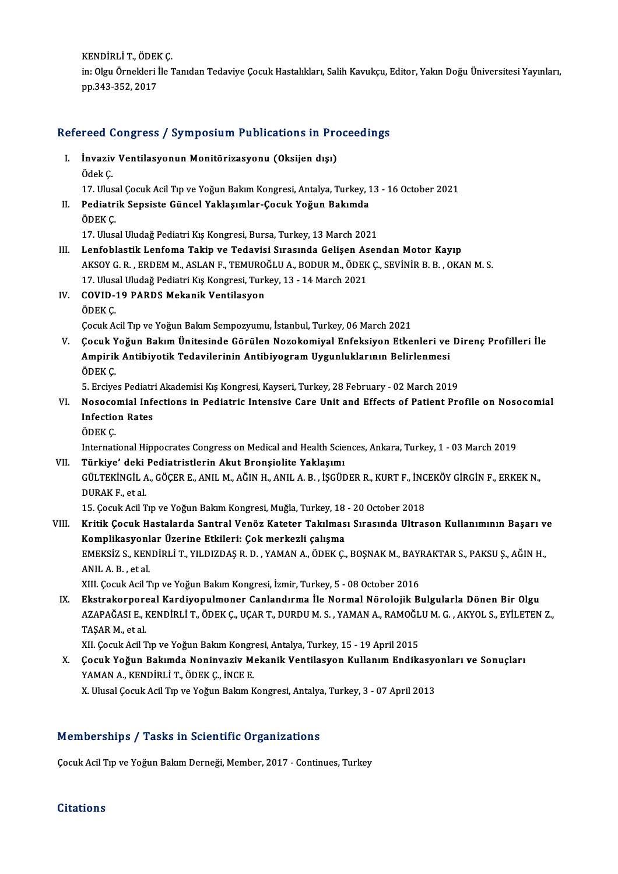KENDİRLİ T., ÖDEK Ç.<br>İn: Olay Önnekleri İle İ in: Olgu Örnekleri İle Tanıdan Tedaviye Çocuk Hastalıkları, Salih Kavukçu, Editor, Yakın Doğu Üniversitesi Yayınları,<br>pp.343-352, 2017 KENDİRLİ T., ÖDEF<br>in: Olgu Örnekleri İ<br>pp.343-352, 2017

# pp.343-352, 2017<br>Refereed Congress / Symposium Publications in Proceedings

efereed Congress / Symposium Publications in Pro<br>I. İnvaziv Ventilasyonun Monitörizasyonu (Oksijen dışı)<br>Ödek*f* I. İnvaziv Ventilasyonun Monitörizasyonu (Oksijen dışı)<br>Ödek Ç.

17.UlusalÇocukAcilTıp veYoğunBakımKongresi,Antalya,Turkey,13 -16October 2021

Ödek Ç.<br>17. Ulusal Çocuk Acil Tıp ve Yoğun Bakım Kongresi, Antalya, Turkey, 1<br>II. Pediatrik Sepsiste Güncel Yaklaşımlar-Çocuk Yoğun Bakımda<br>ÖDEK C 17. Ulusa<br>Pediatri<br>ÖDEK Ç. Pediatrik Sepsiste Güncel Yaklaşımlar-Çocuk Yoğun Bakımda<br>ÖDEK Ç.<br>17. Ulusal Uludağ Pediatri Kış Kongresi, Bursa, Turkey, 13 March 2021<br>Lanfablastik Lanfama Takin ve Tedavisi Sınasında Calisan Asan

- ÖDEK Ç.<br>17. Ulusal Uludağ Pediatri Kış Kongresi, Bursa, Turkey, 13 March 2021<br>III. Lenfoblastik Lenfoma Takip ve Tedavisi Sırasında Gelişen Asendan Motor Kayıp<br>AKSOV G. B. ERDEM M. ASLAN E. TEMUROČLU A. BODUR M. ÖDEK G 17. Ulusal Uludağ Pediatri Kış Kongresi, Bursa, Turkey, 13 March 2021<br>Lenfoblastik Lenfoma Takip ve Tedavisi Sırasında Gelişen Asendan Motor Kayıp<br>AKSOY G. R. , ERDEM M., ASLAN F., TEMUROĞLU A., BODUR M., ÖDEK Ç., SEVİNİR Lenfoblastik Lenfoma Takip ve Tedavisi Sırasında Gelişen As<br>AKSOY G. R. , ERDEM M., ASLAN F., TEMUROĞLU A., BODUR M., ÖDEK<br>17. Ulusal Uludağ Pediatri Kış Kongresi, Turkey, 13 - 14 March 2021<br>COVID 19. BARDS Mokanik Ventile AKSOY G. R. , ERDEM M., ASLAN F., TEMURO<br>17. Ulusal Uludağ Pediatri Kış Kongresi, Turk<br>IV. COVID-19 PARDS Mekanik Ventilasyon<br>ÖDEK C
- 17. Ulusa<br>COVID-:<br>ÖDEK Ç.

ÖDEK Ç.<br>Cocuk Acil Tıp ve Yoğun Bakım Sempozyumu, İstanbul, Turkey, 06 March 2021

ÖDEK Ç.<br>Çocuk Acil Tıp ve Yoğun Bakım Sempozyumu, İstanbul, Turkey, 06 March 2021<br>V. Çocuk Yoğun Bakım Ünitesinde Görülen Nozokomiyal Enfeksiyon Etkenleri ve Direnç Profilleri İle<br>Ampirik Antibiyatik Tedavilerinin Antib Çocuk Acil Tıp ve Yoğun Bakım Sempozyumu, İstanbul, Turkey, 06 March 2021<br>Çocuk Yoğun Bakım Ünitesinde Görülen Nozokomiyal Enfeksiyon Etkenleri ve<br>Ampirik Antibiyotik Tedavilerinin Antibiyogram Uygunluklarının Belirlenmesi **Çocuk Y<br>Ampirik<br>ÖDEK Ç.<br>5. Freiye** Ampirik Antibiyotik Tedavilerinin Antibiyogram Uygunluklarının Belirlenmesi<br>ÖDEK Ç.<br>5. Erciyes Pediatri Akademisi Kış Kongresi, Kayseri, Turkey, 28 February - 02 March 2019<br>Nesescamial Infections in Bediatric Intensive Car

## ÖDEK Ç.<br>5. Erciyes Pediatri Akademisi Kış Kongresi, Kayseri, Turkey, 28 February - 02 March 2019<br>VI. Nosocomial Infections in Pediatric Intensive Care Unit and Effects of Patient Profile on Nosocomial<br>Infection Pates 5. Erciyes Pediatr<br>Nosocomial Infe<br>Infection Rates<br>ÖDEK C Nosoco<br>Infectio<br>ÖDEK Ç.<br>Internati Infection Rates<br>ÖDEK Ç.<br>International Hippocrates Congress on Medical and Health Sciences, Ankara, Turkey, 1 - 03 March 2019

VII. Türkiye' deki Pediatristlerin Akut Bronsiolite Yaklaşımı International Hippocrates Congress on Medical and Health Sciences, Ankara, Turkey, 1 - 03 March 2019<br>Türkiye' deki Pediatristlerin Akut Bronşiolite Yaklaşımı<br>GÜLTEKİNGİL A., GÖÇER E., ANIL M., AĞIN H., ANIL A. B. , İŞGÜDER **Türkiye' deki**<br>GÜLTEKİNGİL A<br>DURAK F., et al.<br>15. Cagult Agil T GÜLTEKİNGİL A., GÖÇER E., ANIL M., AĞIN H., ANIL A. B. , İŞGÜDER R., KURT F., İNC<br>DURAK F., et al.<br>15. Çocuk Acil Tıp ve Yoğun Bakım Kongresi, Muğla, Turkey, 18 - 20 October 2018<br>Kritik Cosuk Hastalarda Santral Vanës Katat

15. Çocuk Acil Tıp ve Yoğun Bakım Kongresi, Muğla, Turkey, 18 - 20 October 2018

DURAK F., et al.<br>15. Çocuk Acil Tıp ve Yoğun Bakım Kongresi, Muğla, Turkey, 18 - 20 October 2018<br>15. Çocuk Hastalarda Santral Venöz Kateter Takılması Sırasında Ultrason Kullanımının Başarı ve<br>19. Komplikasyonlar Üzerine Et Kritik Çocuk Hastalarda Santral Venöz Kateter Takılması Sırasında Ultrason Kullanımının Başarı v<br>Komplikasyonlar Üzerine Etkileri: Çok merkezli çalışma<br>EMEKSİZ S., KENDİRLİ T., YILDIZDAŞ R. D. , YAMAN A., ÖDEK Ç., BOŞNAK M Komplikasyonl<br>EMEKSİZ S., KEN<br>ANIL A. B. , et al.<br>YIIL Cosul: Asil T EMEKSİZ S., KENDİRLİ T., YILDIZDAŞ R. D. , YAMAN A., ÖDEK Ç., BOŞNAK M., BAYI<br>ANIL A. B. , et al.<br>XIII. Çocuk Acil Tıp ve Yoğun Bakım Kongresi, İzmir, Turkey, 5 - 08 October 2016<br>Ekstrakornarası Kardiyanulmanar Ganlandırma ANIL A. B. , et al.<br>IX. Ekstrakorporeal Kardiyopulmoner Canlandırma İle Normal Nörolojik Bulgularla Dönen Bir Olgu<br>IX. Ekstrakorporeal Kardiyopulmoner Canlandırma İle Normal Nörolojik Bulgularla Dönen Bir Olgu

XIII. Çocuk Acil Tıp ve Yoğun Bakım Kongresi, İzmir, Turkey, 5 - 08 October 2016<br><mark>Ekstrakorporeal Kardiyopulmoner Canlandırma İle Normal Nörolojik Bulgularla Dönen Bir Olgu</mark><br>AZAPAĞASI E., KENDİRLİ T., ÖDEK Ç., UÇAR T., DUR TAŞAR M., et al.<br>XII. Çocuk Acil Tıp ve Yoğun Bakım Kongresi, Antalya, Turkey, 15 - 19 April 2015 AZAPAĞASI E., KENDİRLİ T., ÖDEK Ç., UÇAR T., DURDU M. S. , YAMAN A., RAMOĞL<br>TAŞAR M., et al.<br>XII. Çocuk Acil Tıp ve Yoğun Bakım Kongresi, Antalya, Turkey, 15 - 19 April 2015<br>Çocuk Yoğun Bakımda Naninyaziy Makanik Ventilasy

TAŞAR M., et al.<br>XII. Çocuk Acil Tıp ve Yoğun Bakım Kongresi, Antalya, Turkey, 15 - 19 April 2015<br>X. Gocuk Yoğun Bakımda Noninvaziv Mekanik Ventilasyon Kullanım Endikasyonları ve Sonuçları<br>XAMAN A. KENDİRLİ T. ÖDEK G. İNGE XII. Çocuk Acil Tıp ve Yoğun Bakım Kongr<br>**Çocuk Yoğun Bakımda Noninvaziv M**<br>YAMAN A., KENDİRLİ T., ÖDEK Ç., İNCE E.<br>Y. Husel Cosuk Asil Tın ve Yoğun Bakım k Çocuk Yoğun Bakımda Noninvaziv Mekanik Ventilasyon Kullanım Endikasyc<br>YAMAN A., KENDİRLİ T., ÖDEK Ç., İNCE E.<br>X. Ulusal Çocuk Acil Tıp ve Yoğun Bakım Kongresi, Antalya, Turkey, 3 - 07 April 2013 X. Ulusal Çocuk Acil Tıp ve Yoğun Bakım Kongresi, Antalya, Turkey, 3 - 07 April 2013<br>Memberships / Tasks in Scientific Organizations

Çocuk Acil Tıp ve Yoğun Bakım Derneği, Member, 2017 - Continues, Turkey